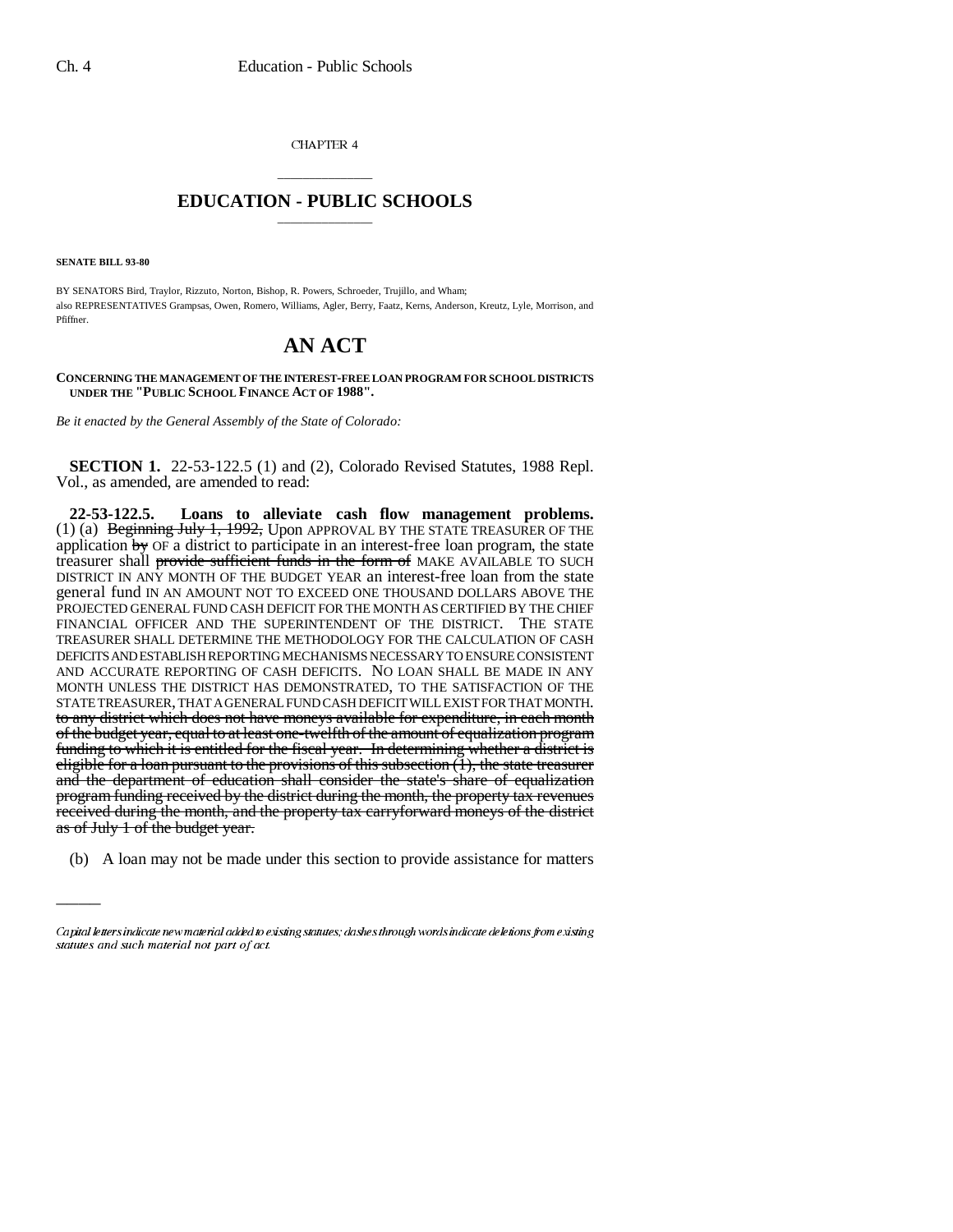CHAPTER 4

## \_\_\_\_\_\_\_\_\_\_\_\_\_\_\_ **EDUCATION - PUBLIC SCHOOLS** \_\_\_\_\_\_\_\_\_\_\_\_\_\_\_

**SENATE BILL 93-80**

 $\overline{\phantom{a}}$ 

BY SENATORS Bird, Traylor, Rizzuto, Norton, Bishop, R. Powers, Schroeder, Trujillo, and Wham; also REPRESENTATIVES Grampsas, Owen, Romero, Williams, Agler, Berry, Faatz, Kerns, Anderson, Kreutz, Lyle, Morrison, and Pfiffner.

## **AN ACT**

**CONCERNING THE MANAGEMENT OF THE INTEREST-FREE LOAN PROGRAM FOR SCHOOL DISTRICTS UNDER THE "PUBLIC SCHOOL FINANCE ACT OF 1988".**

*Be it enacted by the General Assembly of the State of Colorado:*

**SECTION 1.** 22-53-122.5 (1) and (2), Colorado Revised Statutes, 1988 Repl. Vol., as amended, are amended to read:

**22-53-122.5. Loans to alleviate cash flow management problems.** (1) (a) Beginning July 1, 1992, Upon APPROVAL BY THE STATE TREASURER OF THE application  $\frac{1}{2}$  OF a district to participate in an interest-free loan program, the state treasurer shall provide sufficient funds in the form of MAKE AVAILABLE TO SUCH DISTRICT IN ANY MONTH OF THE BUDGET YEAR an interest-free loan from the state general fund IN AN AMOUNT NOT TO EXCEED ONE THOUSAND DOLLARS ABOVE THE PROJECTED GENERAL FUND CASH DEFICIT FOR THE MONTH AS CERTIFIED BY THE CHIEF FINANCIAL OFFICER AND THE SUPERINTENDENT OF THE DISTRICT. THE STATE TREASURER SHALL DETERMINE THE METHODOLOGY FOR THE CALCULATION OF CASH DEFICITS AND ESTABLISH REPORTING MECHANISMS NECESSARY TO ENSURE CONSISTENT AND ACCURATE REPORTING OF CASH DEFICITS. NO LOAN SHALL BE MADE IN ANY MONTH UNLESS THE DISTRICT HAS DEMONSTRATED, TO THE SATISFACTION OF THE STATE TREASURER, THAT A GENERAL FUND CASH DEFICIT WILL EXIST FOR THAT MONTH. to any district which does not have moneys available for expenditure, in each month of the budget year, equal to at least one-twelfth of the amount of equalization program funding to which it is entitled for the fiscal year. In determining whether a district is eligible for a loan pursuant to the provisions of this subsection  $(1)$ , the state treasurer and the department of education shall consider the state's share of equalization program funding received by the district during the month, the property tax revenues received during the month, and the property tax carryforward moneys of the district as of July 1 of the budget year.

(b) A loan may not be made under this section to provide assistance for matters

Capital letters indicate new material added to existing statutes; dashes through words indicate deletions from existing statutes and such material not part of act.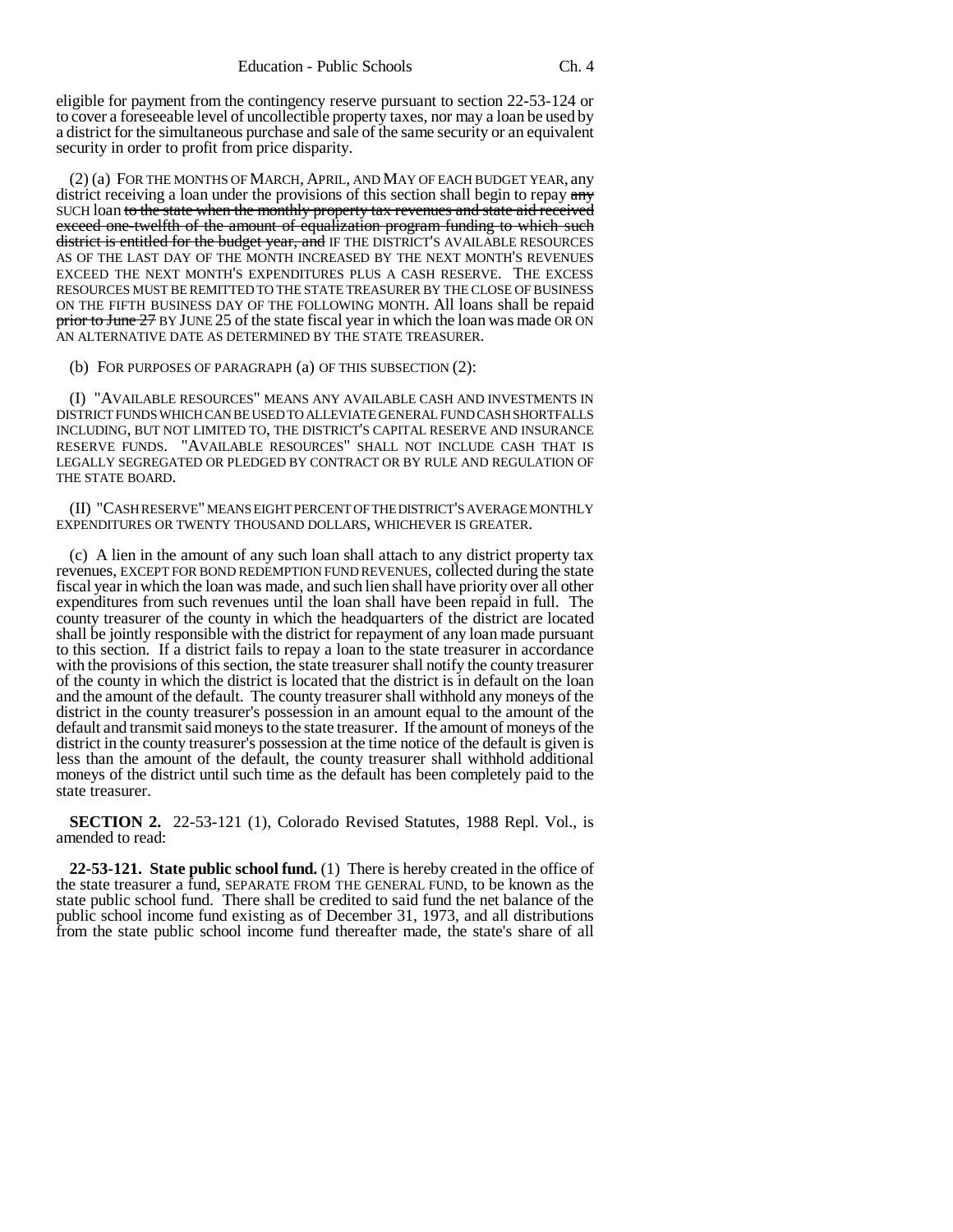eligible for payment from the contingency reserve pursuant to section 22-53-124 or to cover a foreseeable level of uncollectible property taxes, nor may a loan be used by a district for the simultaneous purchase and sale of the same security or an equivalent security in order to profit from price disparity.

(2) (a) FOR THE MONTHS OF MARCH, APRIL, AND MAY OF EACH BUDGET YEAR, any district receiving a loan under the provisions of this section shall begin to repay any SUCH loan to the state when the monthly property tax revenues and state aid received exceed one-twelfth of the amount of equalization program funding to which such district is entitled for the budget year, and IF THE DISTRICT'S AVAILABLE RESOURCES AS OF THE LAST DAY OF THE MONTH INCREASED BY THE NEXT MONTH'S REVENUES EXCEED THE NEXT MONTH'S EXPENDITURES PLUS A CASH RESERVE. THE EXCESS RESOURCES MUST BE REMITTED TO THE STATE TREASURER BY THE CLOSE OF BUSINESS ON THE FIFTH BUSINESS DAY OF THE FOLLOWING MONTH. All loans shall be repaid prior to June 27 BY JUNE 25 of the state fiscal year in which the loan was made OR ON AN ALTERNATIVE DATE AS DETERMINED BY THE STATE TREASURER.

(b) FOR PURPOSES OF PARAGRAPH (a) OF THIS SUBSECTION (2):

(I) "AVAILABLE RESOURCES" MEANS ANY AVAILABLE CASH AND INVESTMENTS IN DISTRICT FUNDS WHICH CAN BE USED TO ALLEVIATE GENERAL FUND CASH SHORTFALLS INCLUDING, BUT NOT LIMITED TO, THE DISTRICT'S CAPITAL RESERVE AND INSURANCE RESERVE FUNDS. "AVAILABLE RESOURCES" SHALL NOT INCLUDE CASH THAT IS LEGALLY SEGREGATED OR PLEDGED BY CONTRACT OR BY RULE AND REGULATION OF THE STATE BOARD.

(II) "CASH RESERVE" MEANS EIGHT PERCENT OF THE DISTRICT'S AVERAGE MONTHLY EXPENDITURES OR TWENTY THOUSAND DOLLARS, WHICHEVER IS GREATER.

(c) A lien in the amount of any such loan shall attach to any district property tax revenues, EXCEPT FOR BOND REDEMPTION FUND REVENUES, collected during the state fiscal year in which the loan was made, and such lien shall have priority over all other expenditures from such revenues until the loan shall have been repaid in full. The county treasurer of the county in which the headquarters of the district are located shall be jointly responsible with the district for repayment of any loan made pursuant to this section. If a district fails to repay a loan to the state treasurer in accordance with the provisions of this section, the state treasurer shall notify the county treasurer of the county in which the district is located that the district is in default on the loan and the amount of the default. The county treasurer shall withhold any moneys of the district in the county treasurer's possession in an amount equal to the amount of the default and transmit said moneys to the state treasurer. If the amount of moneys of the district in the county treasurer's possession at the time notice of the default is given is less than the amount of the default, the county treasurer shall withhold additional moneys of the district until such time as the default has been completely paid to the state treasurer.

**SECTION 2.** 22-53-121 (1), Colorado Revised Statutes, 1988 Repl. Vol., is amended to read:

**22-53-121. State public school fund.** (1) There is hereby created in the office of the state treasurer a fund, SEPARATE FROM THE GENERAL FUND, to be known as the state public school fund. There shall be credited to said fund the net balance of the public school income fund existing as of December 31, 1973, and all distributions from the state public school income fund thereafter made, the state's share of all